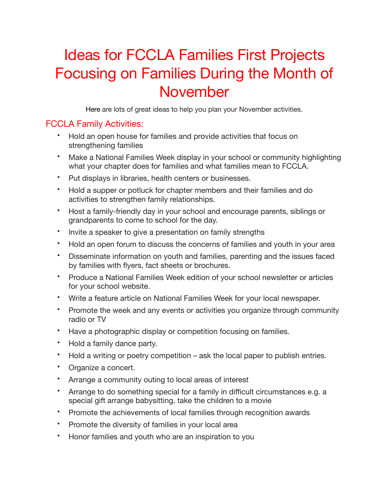## Ideas for FCCLA Families First Projects Focusing on Families During the Month of November

Here are lots of great ideas to help you plan your November activities.

## FCCLA Family Activities:

- Hold an open house for families and provide activities that focus on strengthening families
- Make a National Families Week display in your school or community highlighting what your chapter does for families and what families mean to FCCLA.
- Put displays in libraries, health centers or businesses.
- Hold a supper or potluck for chapter members and their families and do activities to strengthen family relationships.
- Host a family-friendly day in your school and encourage parents, siblings or grandparents to come to school for the day.
- Invite a speaker to give a presentation on family strengths
- Hold an open forum to discuss the concerns of families and youth in your area
- Disseminate information on youth and families, parenting and the issues faced by families with flyers, fact sheets or brochures.
- Produce a National Families Week edition of your school newsletter or articles for your school website.
- Write a feature article on National Families Week for your local newspaper.
- Promote the week and any events or activities you organize through community radio or TV
- Have a photographic display or competition focusing on families.
- Hold a family dance party.
- Hold a writing or poetry competition ask the local paper to publish entries.
- Organize a concert.
- Arrange a community outing to local areas of interest
- Arrange to do something special for a family in difficult circumstances e.g. a special gift arrange babysitting, take the children to a movie
- Promote the achievements of local families through recognition awards
- Promote the diversity of families in your local area
- Honor families and youth who are an inspiration to you